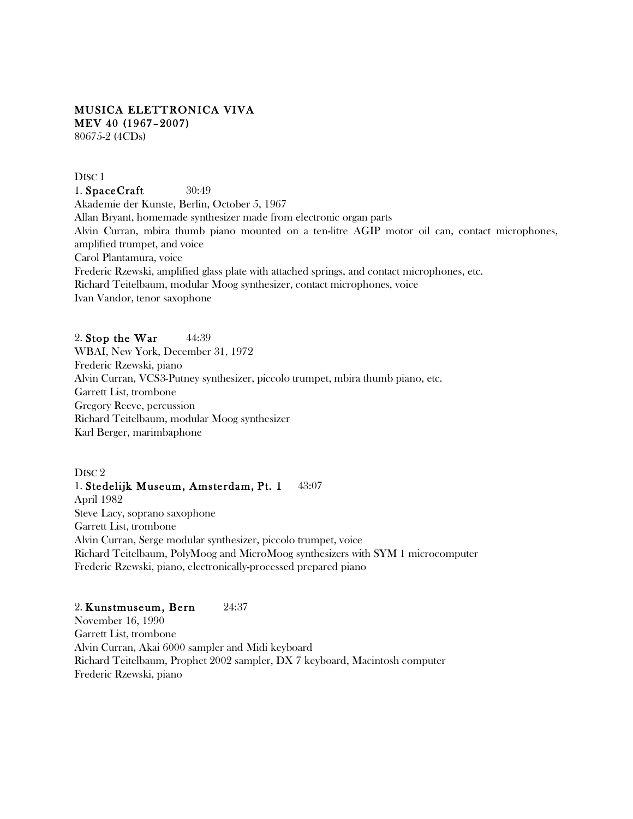### MUSICA ELETTRONICA VIVA MEV 40 (1967–2007) 80675-2 (4CDs)

### DISC<sub>1</sub>

1. **SpaceCraft** 30:49 Akademie der Kunste, Berlin, October 5, 1967 Allan Bryant, homemade synthesizer made from electronic organ parts Alvin Curran, mbira thumb piano mounted on a ten-litre AGIP motor oil can, contact microphones, amplified trumpet, and voice Carol Plantamura, voice Frederic Rzewski, amplified glass plate with attached springs, and contact microphones, etc. Richard Teitelbaum, modular Moog synthesizer, contact microphones, voice Ivan Vandor, tenor saxophone

# 2. Stop the War  $44:39$ WBAI, New York, December 31, 1972 Frederic Rzewski, piano Alvin Curran, VCS3-Putney synthesizer, piccolo trumpet, mbira thumb piano, etc. Garrett List, trombone Gregory Reeve, percussion Richard Teitelbaum, modular Moog synthesizer Karl Berger, marimbaphone

# DISC<sub>2</sub> 1. Stedelijk Museum, Amsterdam, Pt. 1 43:07 April 1982 Steve Lacy, soprano saxophone Garrett List, trombone Alvin Curran, Serge modular synthesizer, piccolo trumpet, voice Richard Teitelbaum, PolyMoog and MicroMoog synthesizers with SYM 1 microcomputer Frederic Rzewski, piano, electronically-processed prepared piano

### 2. Kunstmuseum, Bern 24:37

November 16, 1990 Garrett List, trombone Alvin Curran, Akai 6000 sampler and Midi keyboard Richard Teitelbaum, Prophet 2002 sampler, DX 7 keyboard, Macintosh computer Frederic Rzewski, piano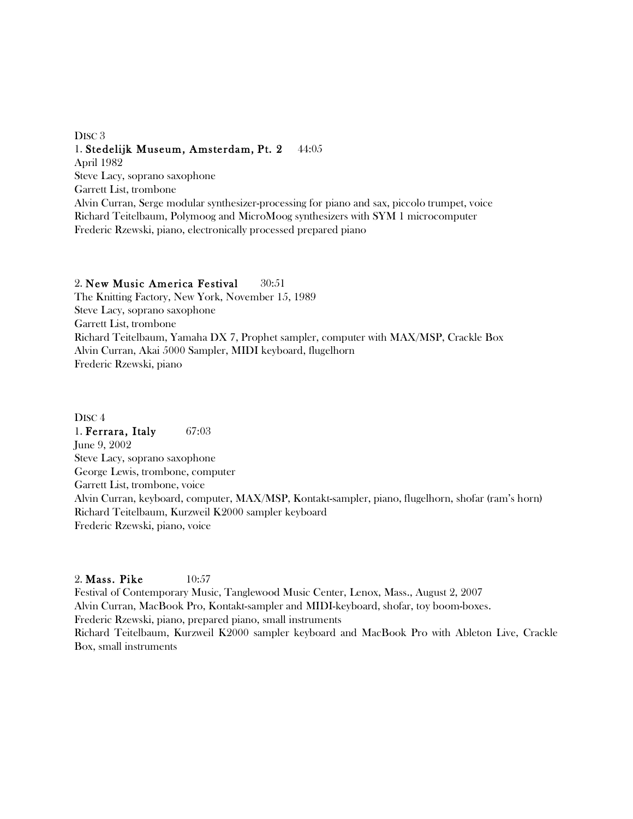# DISC<sub>3</sub> 1. Stedelijk Museum, Amsterdam, Pt. 2 44:05 April 1982

Steve Lacy, soprano saxophone Garrett List, trombone Alvin Curran, Serge modular synthesizer-processing for piano and sax, piccolo trumpet, voice Richard Teitelbaum, Polymoog and MicroMoog synthesizers with SYM 1 microcomputer Frederic Rzewski, piano, electronically processed prepared piano

# 2. New Music America Festival 30:51

The Knitting Factory, New York, November 15, 1989 Steve Lacy, soprano saxophone Garrett List, trombone Richard Teitelbaum, Yamaha DX 7, Prophet sampler, computer with MAX/MSP, Crackle Box Alvin Curran, Akai 5000 Sampler, MIDI keyboard, flugelhorn Frederic Rzewski, piano

DISC<sub>4</sub> 1. **Ferrara, Italy** 67:03 June 9, 2002 Steve Lacy, soprano saxophone George Lewis, trombone, computer Garrett List, trombone, voice Alvin Curran, keyboard, computer, MAX/MSP, Kontakt-sampler, piano, flugelhorn, shofar (ram's horn) Richard Teitelbaum, Kurzweil K2000 sampler keyboard Frederic Rzewski, piano, voice

## 2. Mass. Pike 10:57

Festival of Contemporary Music, Tanglewood Music Center, Lenox, Mass., August 2, 2007 Alvin Curran, MacBook Pro, Kontakt-sampler and MIDI-keyboard, shofar, toy boom-boxes. Frederic Rzewski, piano, prepared piano, small instruments Richard Teitelbaum, Kurzweil K2000 sampler keyboard and MacBook Pro with Ableton Live, Crackle Box, small instruments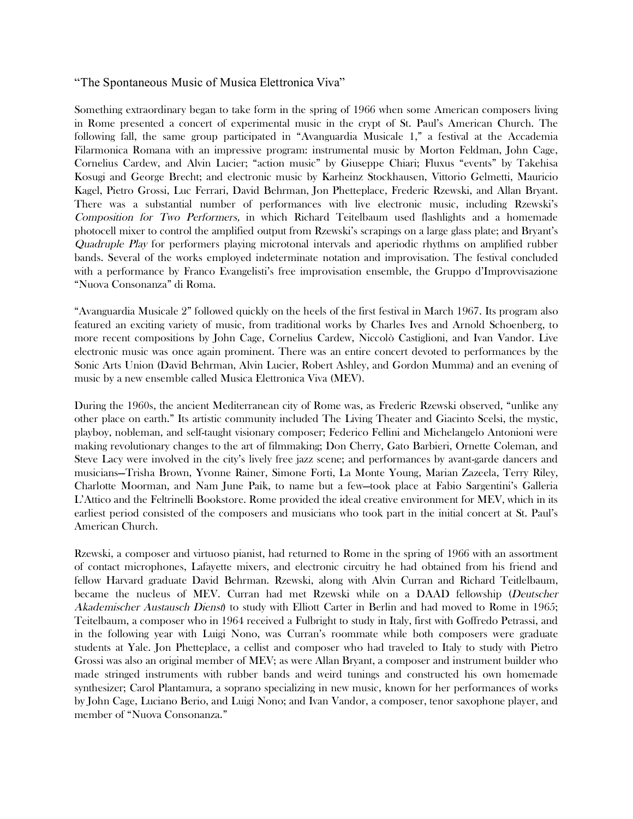## "The Spontaneous Music of Musica Elettronica Viva"

Something extraordinary began to take form in the spring of 1966 when some American composers living in Rome presented a concert of experimental music in the crypt of St. Paul's American Church. The following fall, the same group participated in "Avanguardia Musicale 1," a festival at the Accademia Filarmonica Romana with an impressive program: instrumental music by Morton Feldman, John Cage, Cornelius Cardew, and Alvin Lucier; "action music" by Giuseppe Chiari; Fluxus "events" by Takehisa Kosugi and George Brecht; and electronic music by Karheinz Stockhausen, Vittorio Gelmetti, Mauricio Kagel, Pietro Grossi, Luc Ferrari, David Behrman, Jon Phetteplace, Frederic Rzewski, and Allan Bryant. There was a substantial number of performances with live electronic music, including Rzewski's Composition for Two Performers, in which Richard Teitelbaum used flashlights and a homemade photocell mixer to control the amplified output from Rzewski's scrapings on a large glass plate; and Bryant's Quadruple Play for performers playing microtonal intervals and aperiodic rhythms on amplified rubber bands. Several of the works employed indeterminate notation and improvisation. The festival concluded with a performance by Franco Evangelisti's free improvisation ensemble, the Gruppo d'Improvvisazione "Nuova Consonanza" di Roma.

"Avanguardia Musicale 2" followed quickly on the heels of the first festival in March 1967. Its program also featured an exciting variety of music, from traditional works by Charles Ives and Arnold Schoenberg, to more recent compositions by John Cage, Cornelius Cardew, Niccolò Castiglioni, and Ivan Vandor. Live electronic music was once again prominent. There was an entire concert devoted to performances by the Sonic Arts Union (David Behrman, Alvin Lucier, Robert Ashley, and Gordon Mumma) and an evening of music by a new ensemble called Musica Elettronica Viva (MEV).

During the 1960s, the ancient Mediterranean city of Rome was, as Frederic Rzewski observed, "unlike any other place on earth." Its artistic community included The Living Theater and Giacinto Scelsi, the mystic, playboy, nobleman, and self-taught visionary composer; Federico Fellini and Michelangelo Antonioni were making revolutionary changes to the art of filmmaking; Don Cherry, Gato Barbieri, Ornette Coleman, and Steve Lacy were involved in the city's lively free jazz scene; and performances by avant-garde dancers and musicians—Trisha Brown, Yvonne Rainer, Simone Forti, La Monte Young, Marian Zazeela, Terry Riley, Charlotte Moorman, and Nam June Paik, to name but a few—took place at Fabio Sargentini's Galleria L'Attico and the Feltrinelli Bookstore. Rome provided the ideal creative environment for MEV, which in its earliest period consisted of the composers and musicians who took part in the initial concert at St. Paul's American Church.

Rzewski, a composer and virtuoso pianist, had returned to Rome in the spring of 1966 with an assortment of contact microphones, Lafayette mixers, and electronic circuitry he had obtained from his friend and fellow Harvard graduate David Behrman. Rzewski, along with Alvin Curran and Richard Teitlelbaum, became the nucleus of MEV. Curran had met Rzewski while on a DAAD fellowship (Deutscher Akademischer Austausch Dienst) to study with Elliott Carter in Berlin and had moved to Rome in 1965; Teitelbaum, a composer who in 1964 received a Fulbright to study in Italy, first with Goffredo Petrassi, and in the following year with Luigi Nono, was Curran's roommate while both composers were graduate students at Yale. Jon Phetteplace, a cellist and composer who had traveled to Italy to study with Pietro Grossi was also an original member of MEV; as were Allan Bryant, a composer and instrument builder who made stringed instruments with rubber bands and weird tunings and constructed his own homemade synthesizer; Carol Plantamura, a soprano specializing in new music, known for her performances of works by John Cage, Luciano Berio, and Luigi Nono; and Ivan Vandor, a composer, tenor saxophone player, and member of "Nuova Consonanza."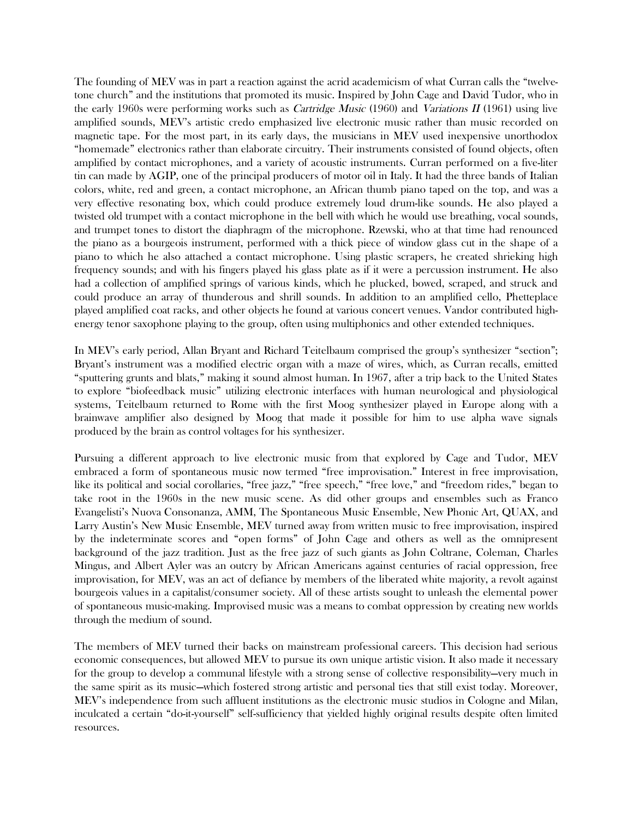The founding of MEV was in part a reaction against the acrid academicism of what Curran calls the "twelvetone church" and the institutions that promoted its music. Inspired by John Cage and David Tudor, who in the early 1960s were performing works such as *Cartridge Music* (1960) and *Variations II* (1961) using live amplified sounds, MEV's artistic credo emphasized live electronic music rather than music recorded on magnetic tape. For the most part, in its early days, the musicians in MEV used inexpensive unorthodox "homemade" electronics rather than elaborate circuitry. Their instruments consisted of found objects, often amplified by contact microphones, and a variety of acoustic instruments. Curran performed on a five-liter tin can made by AGIP, one of the principal producers of motor oil in Italy. It had the three bands of Italian colors, white, red and green, a contact microphone, an African thumb piano taped on the top, and was a very effective resonating box, which could produce extremely loud drum-like sounds. He also played a twisted old trumpet with a contact microphone in the bell with which he would use breathing, vocal sounds, and trumpet tones to distort the diaphragm of the microphone. Rzewski, who at that time had renounced the piano as a bourgeois instrument, performed with a thick piece of window glass cut in the shape of a piano to which he also attached a contact microphone. Using plastic scrapers, he created shrieking high frequency sounds; and with his fingers played his glass plate as if it were a percussion instrument. He also had a collection of amplified springs of various kinds, which he plucked, bowed, scraped, and struck and could produce an array of thunderous and shrill sounds. In addition to an amplified cello, Phetteplace played amplified coat racks, and other objects he found at various concert venues. Vandor contributed highenergy tenor saxophone playing to the group, often using multiphonics and other extended techniques.

In MEV's early period, Allan Bryant and Richard Teitelbaum comprised the group's synthesizer "section"; Bryant's instrument was a modified electric organ with a maze of wires, which, as Curran recalls, emitted "sputtering grunts and blats," making it sound almost human. In 1967, after a trip back to the United States to explore "biofeedback music" utilizing electronic interfaces with human neurological and physiological systems, Teitelbaum returned to Rome with the first Moog synthesizer played in Europe along with a brainwave amplifier also designed by Moog that made it possible for him to use alpha wave signals produced by the brain as control voltages for his synthesizer.

Pursuing a different approach to live electronic music from that explored by Cage and Tudor, MEV embraced a form of spontaneous music now termed "free improvisation." Interest in free improvisation, like its political and social corollaries, "free jazz," "free speech," "free love," and "freedom rides," began to take root in the 1960s in the new music scene. As did other groups and ensembles such as Franco Evangelisti's Nuova Consonanza, AMM, The Spontaneous Music Ensemble, New Phonic Art, QUAX, and Larry Austin's New Music Ensemble, MEV turned away from written music to free improvisation, inspired by the indeterminate scores and "open forms" of John Cage and others as well as the omnipresent background of the jazz tradition. Just as the free jazz of such giants as John Coltrane, Coleman, Charles Mingus, and Albert Ayler was an outcry by African Americans against centuries of racial oppression, free improvisation, for MEV, was an act of defiance by members of the liberated white majority, a revolt against bourgeois values in a capitalist/consumer society. All of these artists sought to unleash the elemental power of spontaneous music-making. Improvised music was a means to combat oppression by creating new worlds through the medium of sound.

The members of MEV turned their backs on mainstream professional careers. This decision had serious economic consequences, but allowed MEV to pursue its own unique artistic vision. It also made it necessary for the group to develop a communal lifestyle with a strong sense of collective responsibility—very much in the same spirit as its music—which fostered strong artistic and personal ties that still exist today. Moreover, MEV's independence from such affluent institutions as the electronic music studios in Cologne and Milan, inculcated a certain "do-it-yourself" self-sufficiency that yielded highly original results despite often limited resources.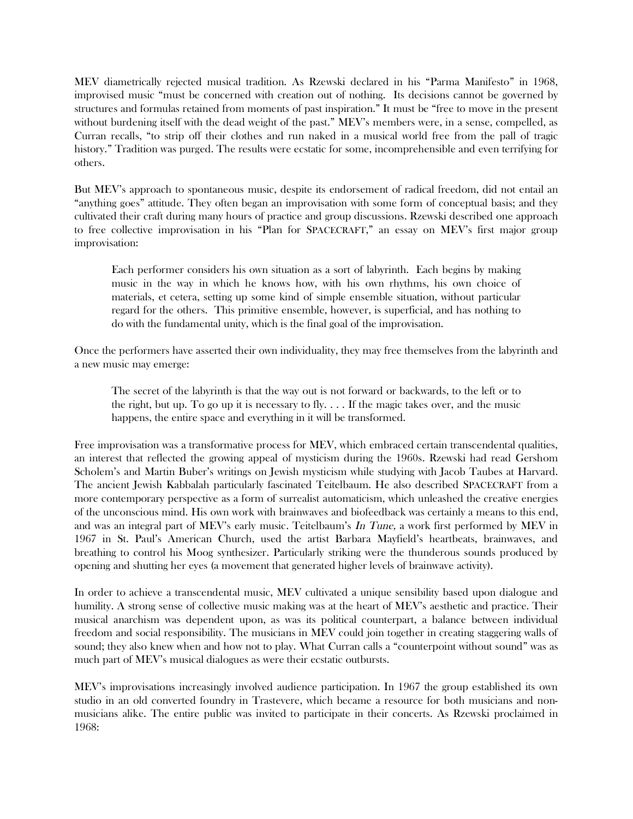MEV diametrically rejected musical tradition. As Rzewski declared in his "Parma Manifesto" in 1968, improvised music "must be concerned with creation out of nothing. Its decisions cannot be governed by structures and formulas retained from moments of past inspiration." It must be "free to move in the present without burdening itself with the dead weight of the past." MEV's members were, in a sense, compelled, as Curran recalls, "to strip off their clothes and run naked in a musical world free from the pall of tragic history." Tradition was purged. The results were ecstatic for some, incomprehensible and even terrifying for others.

But MEV's approach to spontaneous music, despite its endorsement of radical freedom, did not entail an "anything goes" attitude. They often began an improvisation with some form of conceptual basis; and they cultivated their craft during many hours of practice and group discussions. Rzewski described one approach to free collective improvisation in his "Plan for SPACECRAFT," an essay on MEV's first major group improvisation:

Each performer considers his own situation as a sort of labyrinth. Each begins by making music in the way in which he knows how, with his own rhythms, his own choice of materials, et cetera, setting up some kind of simple ensemble situation, without particular regard for the others. This primitive ensemble, however, is superficial, and has nothing to do with the fundamental unity, which is the final goal of the improvisation.

Once the performers have asserted their own individuality, they may free themselves from the labyrinth and a new music may emerge:

The secret of the labyrinth is that the way out is not forward or backwards, to the left or to the right, but up. To go up it is necessary to fly.  $\dots$  If the magic takes over, and the music happens, the entire space and everything in it will be transformed.

Free improvisation was a transformative process for MEV, which embraced certain transcendental qualities, an interest that reflected the growing appeal of mysticism during the 1960s. Rzewski had read Gershom Scholem's and Martin Buber's writings on Jewish mysticism while studying with Jacob Taubes at Harvard. The ancient Jewish Kabbalah particularly fascinated Teitelbaum. He also described SPACECRAFT from a more contemporary perspective as a form of surrealist automaticism, which unleashed the creative energies of the unconscious mind. His own work with brainwaves and biofeedback was certainly a means to this end, and was an integral part of MEV's early music. Teitelbaum's In Tune, a work first performed by MEV in 1967 in St. Paul's American Church, used the artist Barbara Mayfield's heartbeats, brainwaves, and breathing to control his Moog synthesizer. Particularly striking were the thunderous sounds produced by opening and shutting her eyes (a movement that generated higher levels of brainwave activity).

In order to achieve a transcendental music, MEV cultivated a unique sensibility based upon dialogue and humility. A strong sense of collective music making was at the heart of MEV's aesthetic and practice. Their musical anarchism was dependent upon, as was its political counterpart, a balance between individual freedom and social responsibility. The musicians in MEV could join together in creating staggering walls of sound; they also knew when and how not to play. What Curran calls a "counterpoint without sound" was as much part of MEV's musical dialogues as were their ecstatic outbursts.

MEV's improvisations increasingly involved audience participation. In 1967 the group established its own studio in an old converted foundry in Trastevere, which became a resource for both musicians and nonmusicians alike. The entire public was invited to participate in their concerts. As Rzewski proclaimed in 1968: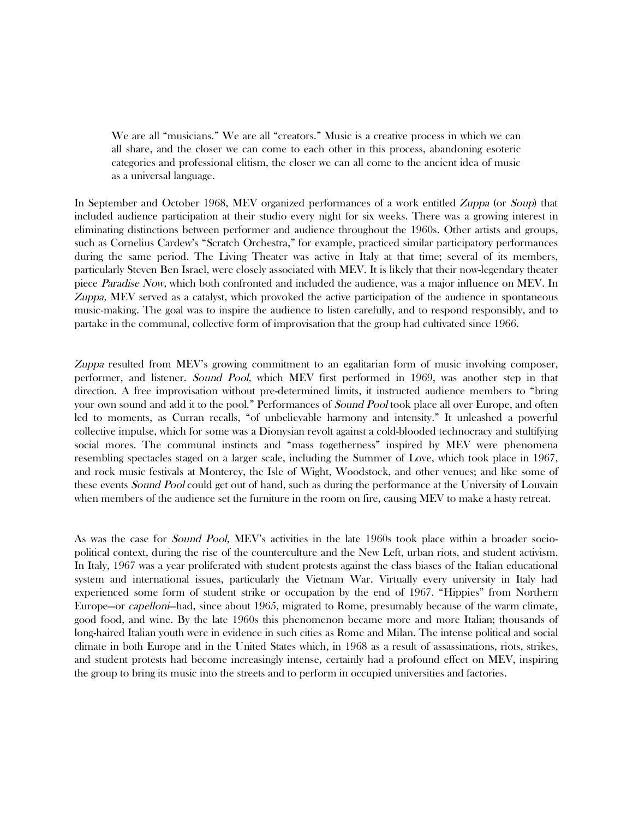We are all "musicians." We are all "creators." Music is a creative process in which we can all share, and the closer we can come to each other in this process, abandoning esoteric categories and professional elitism, the closer we can all come to the ancient idea of music as a universal language.

In September and October 1968, MEV organized performances of a work entitled Zuppa (or Soup) that included audience participation at their studio every night for six weeks. There was a growing interest in eliminating distinctions between performer and audience throughout the 1960s. Other artists and groups, such as Cornelius Cardew's "Scratch Orchestra," for example, practiced similar participatory performances during the same period. The Living Theater was active in Italy at that time; several of its members, particularly Steven Ben Israel, were closely associated with MEV. It is likely that their now-legendary theater piece Paradise Now, which both confronted and included the audience, was a major influence on MEV. In Zuppa, MEV served as a catalyst, which provoked the active participation of the audience in spontaneous music-making. The goal was to inspire the audience to listen carefully, and to respond responsibly, and to partake in the communal, collective form of improvisation that the group had cultivated since 1966.

Zuppa resulted from MEV's growing commitment to an egalitarian form of music involving composer, performer, and listener. Sound Pool, which MEV first performed in 1969, was another step in that direction. A free improvisation without pre-determined limits, it instructed audience members to "bring your own sound and add it to the pool." Performances of *Sound Pool* took place all over Europe, and often led to moments, as Curran recalls, "of unbelievable harmony and intensity." It unleashed a powerful collective impulse, which for some was a Dionysian revolt against a cold-blooded technocracy and stultifying social mores. The communal instincts and "mass togetherness" inspired by MEV were phenomena resembling spectacles staged on a larger scale, including the Summer of Love, which took place in 1967, and rock music festivals at Monterey, the Isle of Wight, Woodstock, and other venues; and like some of these events *Sound Pool* could get out of hand, such as during the performance at the University of Louvain when members of the audience set the furniture in the room on fire, causing MEV to make a hasty retreat.

As was the case for Sound Pool, MEV's activities in the late 1960s took place within a broader sociopolitical context, during the rise of the counterculture and the New Left, urban riots, and student activism. In Italy, 1967 was a year proliferated with student protests against the class biases of the Italian educational system and international issues, particularly the Vietnam War. Virtually every university in Italy had experienced some form of student strike or occupation by the end of 1967. "Hippies" from Northern Europe—or capelloni—had, since about 1965, migrated to Rome, presumably because of the warm climate, good food, and wine. By the late 1960s this phenomenon became more and more Italian; thousands of long-haired Italian youth were in evidence in such cities as Rome and Milan. The intense political and social climate in both Europe and in the United States which, in 1968 as a result of assassinations, riots, strikes, and student protests had become increasingly intense, certainly had a profound effect on MEV, inspiring the group to bring its music into the streets and to perform in occupied universities and factories.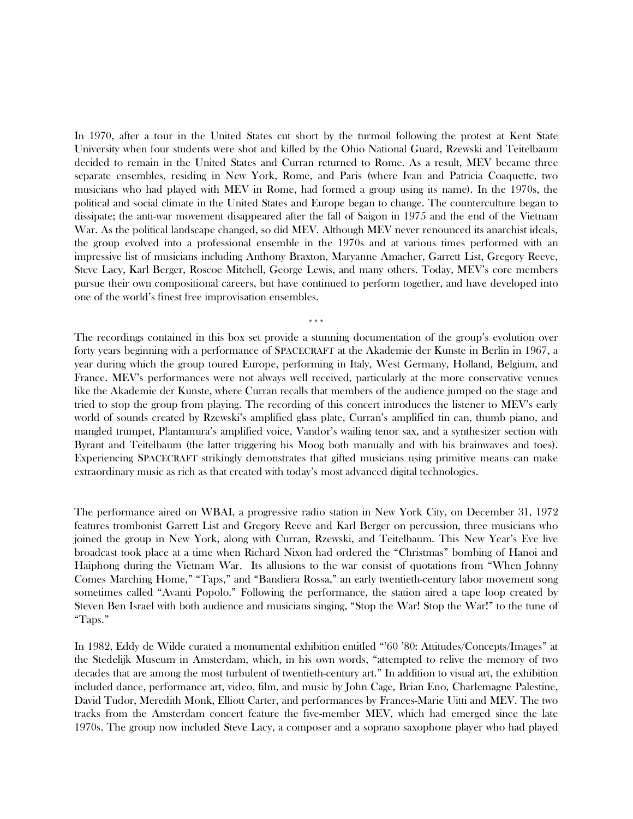In 1970, after a tour in the United States cut short by the turmoil following the protest at Kent State University when four students were shot and killed by the Ohio National Guard, Rzewski and Teitelbaum decided to remain in the United States and Curran returned to Rome. As a result, MEV became three separate ensembles, residing in New York, Rome, and Paris (where Ivan and Patricia Coaquette, two musicians who had played with MEV in Rome, had formed a group using its name). In the 1970s, the political and social climate in the United States and Europe began to change. The counterculture began to dissipate; the anti-war movement disappeared after the fall of Saigon in 1975 and the end of the Vietnam War. As the political landscape changed, so did MEV. Although MEV never renounced its anarchist ideals, the group evolved into a professional ensemble in the 1970s and at various times performed with an impressive list of musicians including Anthony Braxton, Maryanne Amacher, Garrett List, Gregory Reeve, Steve Lacy, Karl Berger, Roscoe Mitchell, George Lewis, and many others. Today, MEV's core members pursue their own compositional careers, but have continued to perform together, and have developed into one of the world's finest free improvisation ensembles.

The recordings contained in this box set provide a stunning documentation of the group's evolution over forty years beginning with a performance of SPACECRAFT at the Akademie der Kunste in Berlin in 1967, a year during which the group toured Europe, performing in Italy, West Germany, Holland, Belgium, and France. MEV's performances were not always well received, particularly at the more conservative venues like the Akademie der Kunste, where Curran recalls that members of the audience jumped on the stage and tried to stop the group from playing. The recording of this concert introduces the listener to MEV's early world of sounds created by Rzewski's amplified glass plate, Curran's amplified tin can, thumb piano, and mangled trumpet, Plantamura's amplified voice, Vandor's wailing tenor sax, and a synthesizer section with Byrant and Teitelbaum (the latter triggering his Moog both manually and with his brainwaves and toes). Experiencing SPACECRAFT strikingly demonstrates that gifted musicians using primitive means can make extraordinary music as rich as that created with today's most advanced digital technologies.

\*\*\*

The performance aired on WBAI, a progressive radio station in New York City, on December 31, 1972 features trombonist Garrett List and Gregory Reeve and Karl Berger on percussion, three musicians who joined the group in New York, along with Curran, Rzewski, and Teitelbaum. This New Year's Eve live broadcast took place at a time when Richard Nixon had ordered the "Christmas" bombing of Hanoi and Haiphong during the Vietnam War. Its allusions to the war consist of quotations from "When Johnny Comes Marching Home," "Taps," and "Bandiera Rossa," an early twentieth-century labor movement song sometimes called "Avanti Popolo." Following the performance, the station aired a tape loop created by Steven Ben Israel with both audience and musicians singing, "Stop the War! Stop the War!" to the tune of "Taps."

In 1982, Eddy de Wilde curated a monumental exhibition entitled "'60 '80: Attitudes/Concepts/Images" at the Stedelijk Museum in Amsterdam, which, in his own words, "attempted to relive the memory of two decades that are among the most turbulent of twentieth-century art." In addition to visual art, the exhibition included dance, performance art, video, film, and music by John Cage, Brian Eno, Charlemagne Palestine, David Tudor, Meredith Monk, Elliott Carter, and performances by Frances-Marie Uitti and MEV. The two tracks from the Amsterdam concert feature the five-member MEV, which had emerged since the late 1970s. The group now included Steve Lacy, a composer and a soprano saxophone player who had played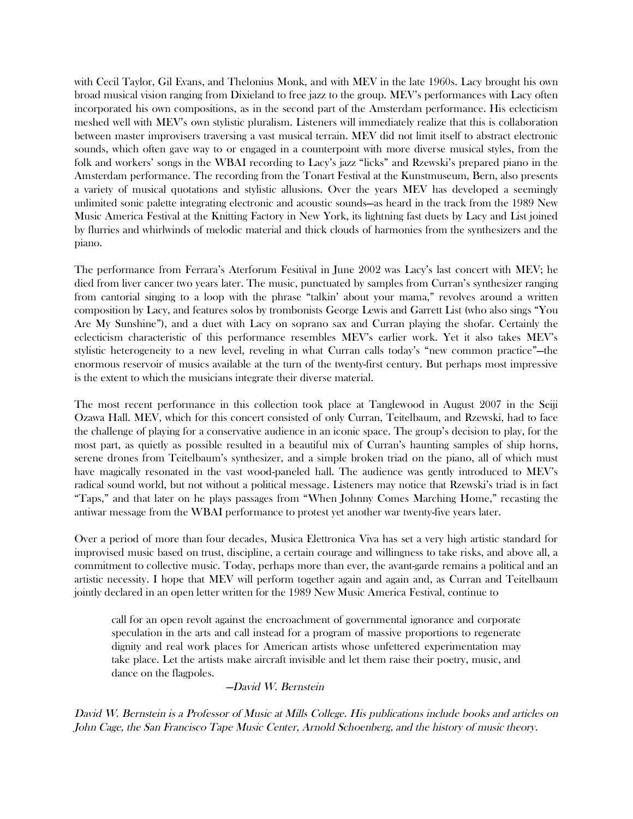with Cecil Taylor, Gil Evans, and Thelonius Monk, and with MEV in the late 1960s. Lacy brought his own broad musical vision ranging from Dixieland to free jazz to the group. MEV's performances with Lacy often incorporated his own compositions, as in the second part of the Amsterdam performance. His eclecticism meshed well with MEV's own stylistic pluralism. Listeners will immediately realize that this is collaboration between master improvisers traversing a vast musical terrain. MEV did not limit itself to abstract electronic sounds, which often gave way to or engaged in a counterpoint with more diverse musical styles, from the folk and workers' songs in the WBAI recording to Lacy's jazz "licks" and Rzewski's prepared piano in the Amsterdam performance. The recording from the Tonart Festival at the Kunstmuseum, Bern, also presents a variety of musical quotations and stylistic allusions. Over the years MEV has developed a seemingly unlimited sonic palette integrating electronic and acoustic sounds—as heard in the track from the 1989 New Music America Festival at the Knitting Factory in New York, its lightning fast duets by Lacy and List joined by flurries and whirlwinds of melodic material and thick clouds of harmonies from the synthesizers and the piano.

The performance from Ferrara's Aterforum Fesitival in June 2002 was Lacy's last concert with MEV; he died from liver cancer two years later. The music, punctuated by samples from Curran's synthesizer ranging from cantorial singing to a loop with the phrase "talkin' about your mama," revolves around a written composition by Lacy, and features solos by trombonists George Lewis and Garrett List (who also sings "You Are My Sunshine"), and a duet with Lacy on soprano sax and Curran playing the shofar. Certainly the eclecticism characteristic of this performance resembles MEV's earlier work. Yet it also takes MEV's stylistic heterogeneity to a new level, reveling in what Curran calls today's "new common practice"—the enormous reservoir of musics available at the turn of the twenty-first century. But perhaps most impressive is the extent to which the musicians integrate their diverse material.

The most recent performance in this collection took place at Tanglewood in August 2007 in the Seiji Ozawa Hall. MEV, which for this concert consisted of only Curran, Teitelbaum, and Rzewski, had to face the challenge of playing for a conservative audience in an iconic space. The group's decision to play, for the most part, as quietly as possible resulted in a beautiful mix of Curran's haunting samples of ship horns, serene drones from Teitelbaum's synthesizer, and a simple broken triad on the piano, all of which must have magically resonated in the vast wood-paneled hall. The audience was gently introduced to MEV's radical sound world, but not without a political message. Listeners may notice that Rzewski's triad is in fact "Taps," and that later on he plays passages from "When Johnny Comes Marching Home," recasting the antiwar message from the WBAI performance to protest yet another war twenty-five years later.

Over a period of more than four decades, Musica Elettronica Viva has set a very high artistic standard for improvised music based on trust, discipline, a certain courage and willingness to take risks, and above all, a commitment to collective music. Today, perhaps more than ever, the avant-garde remains a political and an artistic necessity. I hope that MEV will perform together again and again and, as Curran and Teitelbaum jointly declared in an open letter written for the 1989 New Music America Festival, continue to

call for an open revolt against the encroachment of governmental ignorance and corporate speculation in the arts and call instead for a program of massive proportions to regenerate dignity and real work places for American artists whose unfettered experimentation may take place. Let the artists make aircraft invisible and let them raise their poetry, music, and dance on the flagpoles.

—David W. Bernstein

David W. Bernstein is a Professor of Music at Mills College. His publications include books and articles on John Cage, the San Francisco Tape Music Center, Arnold Schoenberg, and the history of music theory.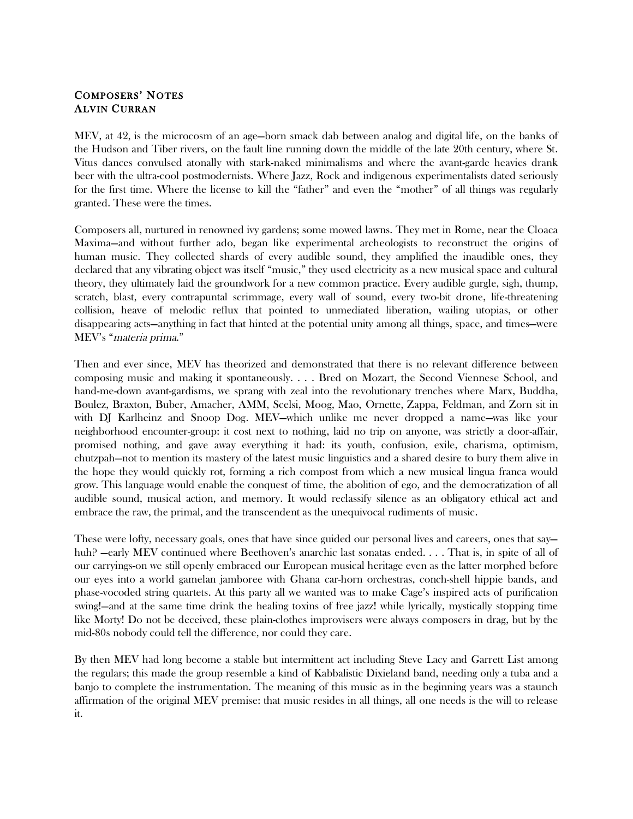# COMPOSERS' NOTES ALVIN CURRAN

MEV, at 42, is the microcosm of an age—born smack dab between analog and digital life, on the banks of the Hudson and Tiber rivers, on the fault line running down the middle of the late 20th century, where St. Vitus dances convulsed atonally with stark-naked minimalisms and where the avant-garde heavies drank beer with the ultra-cool postmodernists. Where Jazz, Rock and indigenous experimentalists dated seriously for the first time. Where the license to kill the "father" and even the "mother" of all things was regularly granted. These were the times.

Composers all, nurtured in renowned ivy gardens; some mowed lawns. They met in Rome, near the Cloaca Maxima—and without further ado, began like experimental archeologists to reconstruct the origins of human music. They collected shards of every audible sound, they amplified the inaudible ones, they declared that any vibrating object was itself "music," they used electricity as a new musical space and cultural theory, they ultimately laid the groundwork for a new common practice. Every audible gurgle, sigh, thump, scratch, blast, every contrapuntal scrimmage, every wall of sound, every two-bit drone, life-threatening collision, heave of melodic reflux that pointed to unmediated liberation, wailing utopias, or other disappearing acts—anything in fact that hinted at the potential unity among all things, space, and times—were MEV's "materia prima."

Then and ever since, MEV has theorized and demonstrated that there is no relevant difference between composing music and making it spontaneously. . . . Bred on Mozart, the Second Viennese School, and hand-me-down avant-gardisms, we sprang with zeal into the revolutionary trenches where Marx, Buddha, Boulez, Braxton, Buber, Amacher, AMM, Scelsi, Moog, Mao, Ornette, Zappa, Feldman, and Zorn sit in with DJ Karlheinz and Snoop Dog. MEV—which unlike me never dropped a name—was like your neighborhood encounter-group: it cost next to nothing, laid no trip on anyone, was strictly a door-affair, promised nothing, and gave away everything it had: its youth, confusion, exile, charisma, optimism, chutzpah—not to mention its mastery of the latest music linguistics and a shared desire to bury them alive in the hope they would quickly rot, forming a rich compost from which a new musical lingua franca would grow. This language would enable the conquest of time, the abolition of ego, and the democratization of all audible sound, musical action, and memory. It would reclassify silence as an obligatory ethical act and embrace the raw, the primal, and the transcendent as the unequivocal rudiments of music.

These were lofty, necessary goals, ones that have since guided our personal lives and careers, ones that say huh? —early MEV continued where Beethoven's anarchic last sonatas ended. . . . That is, in spite of all of our carryings-on we still openly embraced our European musical heritage even as the latter morphed before our eyes into a world gamelan jamboree with Ghana car-horn orchestras, conch-shell hippie bands, and phase-vocoded string quartets. At this party all we wanted was to make Cage's inspired acts of purification swing!—and at the same time drink the healing toxins of free jazz! while lyrically, mystically stopping time like Morty! Do not be deceived, these plain-clothes improvisers were always composers in drag, but by the mid-80s nobody could tell the difference, nor could they care.

By then MEV had long become a stable but intermittent act including Steve Lacy and Garrett List among the regulars; this made the group resemble a kind of Kabbalistic Dixieland band, needing only a tuba and a banjo to complete the instrumentation. The meaning of this music as in the beginning years was a staunch affirmation of the original MEV premise: that music resides in all things, all one needs is the will to release it.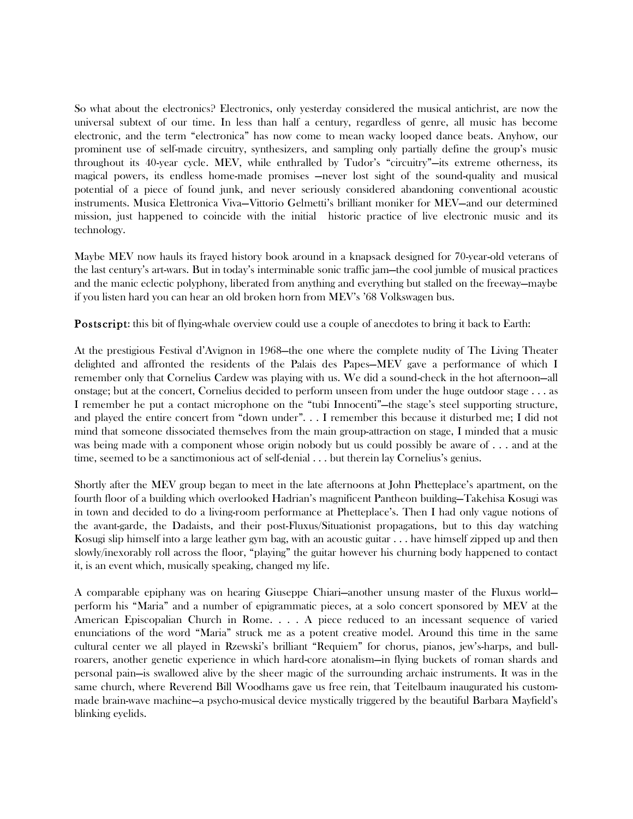So what about the electronics? Electronics, only yesterday considered the musical antichrist, are now the universal subtext of our time. In less than half a century, regardless of genre, all music has become electronic, and the term "electronica" has now come to mean wacky looped dance beats. Anyhow, our prominent use of self-made circuitry, synthesizers, and sampling only partially define the group's music throughout its 40-year cycle. MEV, while enthralled by Tudor's "circuitry"—its extreme otherness, its magical powers, its endless home-made promises —never lost sight of the sound-quality and musical potential of a piece of found junk, and never seriously considered abandoning conventional acoustic instruments. Musica Elettronica Viva—Vittorio Gelmetti's brilliant moniker for MEV—and our determined mission, just happened to coincide with the initial historic practice of live electronic music and its technology.

Maybe MEV now hauls its frayed history book around in a knapsack designed for 70-year-old veterans of the last century's art-wars. But in today's interminable sonic traffic jam—the cool jumble of musical practices and the manic eclectic polyphony, liberated from anything and everything but stalled on the freeway—maybe if you listen hard you can hear an old broken horn from MEV's '68 Volkswagen bus.

**Postscript:** this bit of flying-whale overview could use a couple of anecdotes to bring it back to Earth:

At the prestigious Festival d'Avignon in 1968—the one where the complete nudity of The Living Theater delighted and affronted the residents of the Palais des Papes—MEV gave a performance of which I remember only that Cornelius Cardew was playing with us. We did a sound-check in the hot afternoon—all onstage; but at the concert, Cornelius decided to perform unseen from under the huge outdoor stage . . . as I remember he put a contact microphone on the "tubi Innocenti"—the stage's steel supporting structure, and played the entire concert from "down under". . . I remember this because it disturbed me; I did not mind that someone dissociated themselves from the main group-attraction on stage, I minded that a music was being made with a component whose origin nobody but us could possibly be aware of . . . and at the time, seemed to be a sanctimonious act of self-denial . . . but therein lay Cornelius's genius.

Shortly after the MEV group began to meet in the late afternoons at John Phetteplace's apartment, on the fourth floor of a building which overlooked Hadrian's magnificent Pantheon building—Takehisa Kosugi was in town and decided to do a living-room performance at Phetteplace's. Then I had only vague notions of the avant-garde, the Dadaists, and their post-Fluxus/Situationist propagations, but to this day watching Kosugi slip himself into a large leather gym bag, with an acoustic guitar . . . have himself zipped up and then slowly/inexorably roll across the floor, "playing" the guitar however his churning body happened to contact it, is an event which, musically speaking, changed my life.

A comparable epiphany was on hearing Giuseppe Chiari—another unsung master of the Fluxus world perform his "Maria" and a number of epigrammatic pieces, at a solo concert sponsored by MEV at the American Episcopalian Church in Rome. . . . A piece reduced to an incessant sequence of varied enunciations of the word "Maria" struck me as a potent creative model. Around this time in the same cultural center we all played in Rzewski's brilliant "Requiem" for chorus, pianos, jew's-harps, and bullroarers, another genetic experience in which hard-core atonalism—in flying buckets of roman shards and personal pain—is swallowed alive by the sheer magic of the surrounding archaic instruments. It was in the same church, where Reverend Bill Woodhams gave us free rein, that Teitelbaum inaugurated his custommade brain-wave machine—a psycho-musical device mystically triggered by the beautiful Barbara Mayfield's blinking eyelids.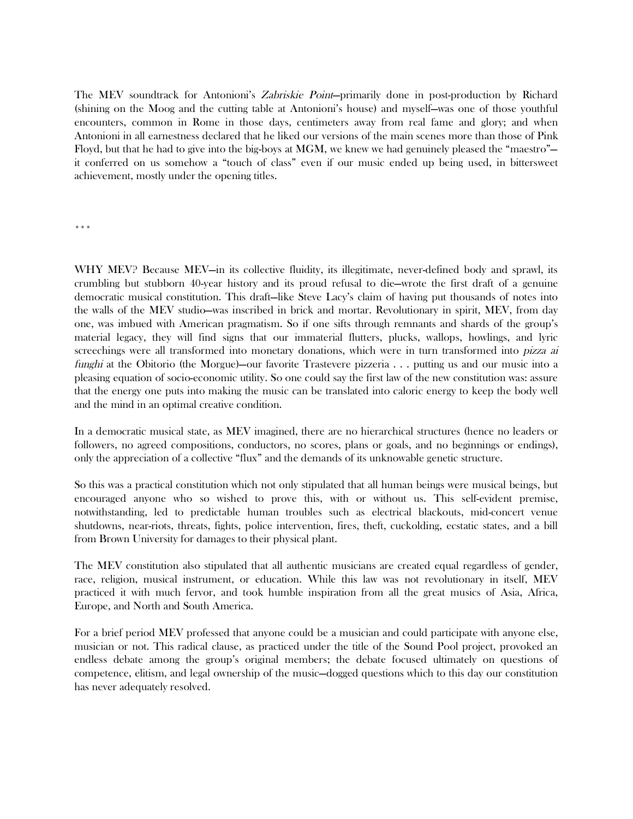The MEV soundtrack for Antonioni's Zabriskie Point—primarily done in post-production by Richard (shining on the Moog and the cutting table at Antonioni's house) and myself—was one of those youthful encounters, common in Rome in those days, centimeters away from real fame and glory; and when Antonioni in all earnestness declared that he liked our versions of the main scenes more than those of Pink Floyd, but that he had to give into the big-boys at MGM, we knew we had genuinely pleased the "maestro" it conferred on us somehow a "touch of class" even if our music ended up being used, in bittersweet achievement, mostly under the opening titles.

\*\*\*

WHY MEV? Because MEV—in its collective fluidity, its illegitimate, never-defined body and sprawl, its crumbling but stubborn 40-year history and its proud refusal to die—wrote the first draft of a genuine democratic musical constitution. This draft—like Steve Lacy's claim of having put thousands of notes into the walls of the MEV studio—was inscribed in brick and mortar. Revolutionary in spirit, MEV, from day one, was imbued with American pragmatism. So if one sifts through remnants and shards of the group's material legacy, they will find signs that our immaterial flutters, plucks, wallops, howlings, and lyric screechings were all transformed into monetary donations, which were in turn transformed into *pizza ai* funghi at the Obitorio (the Morgue)—our favorite Trastevere pizzeria . . . putting us and our music into a pleasing equation of socio-economic utility. So one could say the first law of the new constitution was: assure that the energy one puts into making the music can be translated into caloric energy to keep the body well and the mind in an optimal creative condition.

In a democratic musical state, as MEV imagined, there are no hierarchical structures (hence no leaders or followers, no agreed compositions, conductors, no scores, plans or goals, and no beginnings or endings), only the appreciation of a collective "flux" and the demands of its unknowable genetic structure.

So this was a practical constitution which not only stipulated that all human beings were musical beings, but encouraged anyone who so wished to prove this, with or without us. This self-evident premise, notwithstanding, led to predictable human troubles such as electrical blackouts, mid-concert venue shutdowns, near-riots, threats, fights, police intervention, fires, theft, cuckolding, ecstatic states, and a bill from Brown University for damages to their physical plant.

The MEV constitution also stipulated that all authentic musicians are created equal regardless of gender, race, religion, musical instrument, or education. While this law was not revolutionary in itself, MEV practiced it with much fervor, and took humble inspiration from all the great musics of Asia, Africa, Europe, and North and South America.

For a brief period MEV professed that anyone could be a musician and could participate with anyone else, musician or not. This radical clause, as practiced under the title of the Sound Pool project, provoked an endless debate among the group's original members; the debate focused ultimately on questions of competence, elitism, and legal ownership of the music—dogged questions which to this day our constitution has never adequately resolved.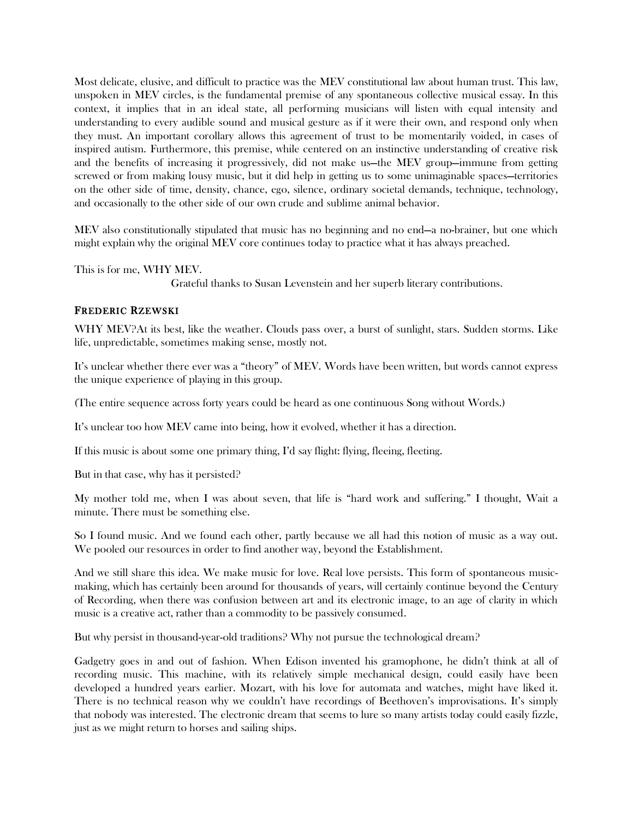Most delicate, elusive, and difficult to practice was the MEV constitutional law about human trust. This law, unspoken in MEV circles, is the fundamental premise of any spontaneous collective musical essay. In this context, it implies that in an ideal state, all performing musicians will listen with equal intensity and understanding to every audible sound and musical gesture as if it were their own, and respond only when they must. An important corollary allows this agreement of trust to be momentarily voided, in cases of inspired autism. Furthermore, this premise, while centered on an instinctive understanding of creative risk and the benefits of increasing it progressively, did not make us—the MEV group—immune from getting screwed or from making lousy music, but it did help in getting us to some unimaginable spaces—territories on the other side of time, density, chance, ego, silence, ordinary societal demands, technique, technology, and occasionally to the other side of our own crude and sublime animal behavior.

MEV also constitutionally stipulated that music has no beginning and no end—a no-brainer, but one which might explain why the original MEV core continues today to practice what it has always preached.

This is for me, WHY MEV.

Grateful thanks to Susan Levenstein and her superb literary contributions.

# FREDERIC RZEWSKI

WHY MEV?At its best, like the weather. Clouds pass over, a burst of sunlight, stars. Sudden storms. Like life, unpredictable, sometimes making sense, mostly not.

It's unclear whether there ever was a "theory" of MEV. Words have been written, but words cannot express the unique experience of playing in this group.

(The entire sequence across forty years could be heard as one continuous Song without Words.)

It's unclear too how MEV came into being, how it evolved, whether it has a direction.

If this music is about some one primary thing, I'd say flight: flying, fleeing, fleeting.

But in that case, why has it persisted?

My mother told me, when I was about seven, that life is "hard work and suffering." I thought, Wait a minute. There must be something else.

So I found music. And we found each other, partly because we all had this notion of music as a way out. We pooled our resources in order to find another way, beyond the Establishment.

And we still share this idea. We make music for love. Real love persists. This form of spontaneous musicmaking, which has certainly been around for thousands of years, will certainly continue beyond the Century of Recording, when there was confusion between art and its electronic image, to an age of clarity in which music is a creative act, rather than a commodity to be passively consumed.

But why persist in thousand-year-old traditions? Why not pursue the technological dream?

Gadgetry goes in and out of fashion. When Edison invented his gramophone, he didn't think at all of recording music. This machine, with its relatively simple mechanical design, could easily have been developed a hundred years earlier. Mozart, with his love for automata and watches, might have liked it. There is no technical reason why we couldn't have recordings of Beethoven's improvisations. It's simply that nobody was interested. The electronic dream that seems to lure so many artists today could easily fizzle, just as we might return to horses and sailing ships.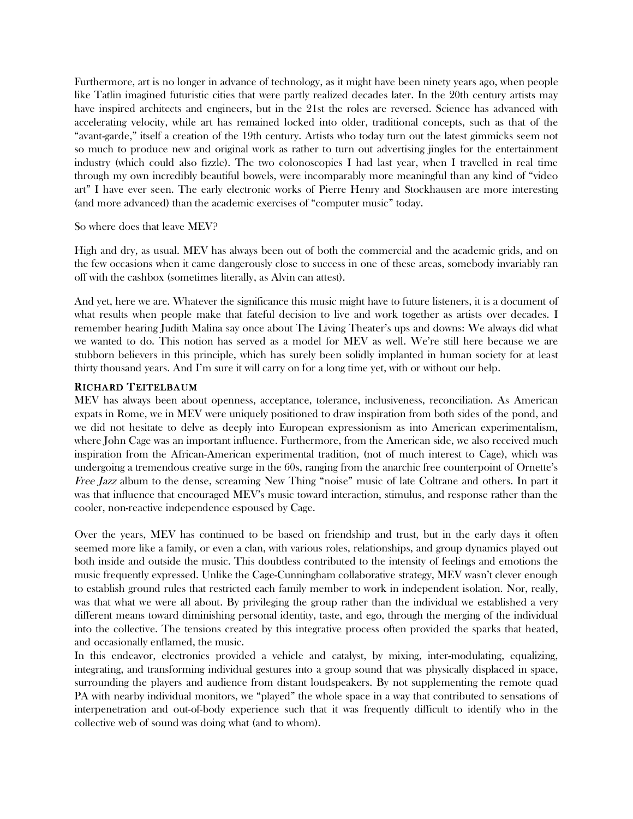Furthermore, art is no longer in advance of technology, as it might have been ninety years ago, when people like Tatlin imagined futuristic cities that were partly realized decades later. In the 20th century artists may have inspired architects and engineers, but in the 21st the roles are reversed. Science has advanced with accelerating velocity, while art has remained locked into older, traditional concepts, such as that of the "avant-garde," itself a creation of the 19th century. Artists who today turn out the latest gimmicks seem not so much to produce new and original work as rather to turn out advertising jingles for the entertainment industry (which could also fizzle). The two colonoscopies I had last year, when I travelled in real time through my own incredibly beautiful bowels, were incomparably more meaningful than any kind of "video art" I have ever seen. The early electronic works of Pierre Henry and Stockhausen are more interesting (and more advanced) than the academic exercises of "computer music" today.

### So where does that leave MEV?

High and dry, as usual. MEV has always been out of both the commercial and the academic grids, and on the few occasions when it came dangerously close to success in one of these areas, somebody invariably ran off with the cashbox (sometimes literally, as Alvin can attest).

And yet, here we are. Whatever the significance this music might have to future listeners, it is a document of what results when people make that fateful decision to live and work together as artists over decades. I remember hearing Judith Malina say once about The Living Theater's ups and downs: We always did what we wanted to do. This notion has served as a model for MEV as well. We're still here because we are stubborn believers in this principle, which has surely been solidly implanted in human society for at least thirty thousand years. And I'm sure it will carry on for a long time yet, with or without our help.

### RICHARD TEITELBAUM

MEV has always been about openness, acceptance, tolerance, inclusiveness, reconciliation. As American expats in Rome, we in MEV were uniquely positioned to draw inspiration from both sides of the pond, and we did not hesitate to delve as deeply into European expressionism as into American experimentalism, where John Cage was an important influence. Furthermore, from the American side, we also received much inspiration from the African-American experimental tradition, (not of much interest to Cage), which was undergoing a tremendous creative surge in the 60s, ranging from the anarchic free counterpoint of Ornette's Free Jazz album to the dense, screaming New Thing "noise" music of late Coltrane and others. In part it was that influence that encouraged MEV's music toward interaction, stimulus, and response rather than the cooler, non-reactive independence espoused by Cage.

Over the years, MEV has continued to be based on friendship and trust, but in the early days it often seemed more like a family, or even a clan, with various roles, relationships, and group dynamics played out both inside and outside the music. This doubtless contributed to the intensity of feelings and emotions the music frequently expressed. Unlike the Cage-Cunningham collaborative strategy, MEV wasn't clever enough to establish ground rules that restricted each family member to work in independent isolation. Nor, really, was that what we were all about. By privileging the group rather than the individual we established a very different means toward diminishing personal identity, taste, and ego, through the merging of the individual into the collective. The tensions created by this integrative process often provided the sparks that heated, and occasionally enflamed, the music.

In this endeavor, electronics provided a vehicle and catalyst, by mixing, inter-modulating, equalizing, integrating, and transforming individual gestures into a group sound that was physically displaced in space, surrounding the players and audience from distant loudspeakers. By not supplementing the remote quad PA with nearby individual monitors, we "played" the whole space in a way that contributed to sensations of interpenetration and out-of-body experience such that it was frequently difficult to identify who in the collective web of sound was doing what (and to whom).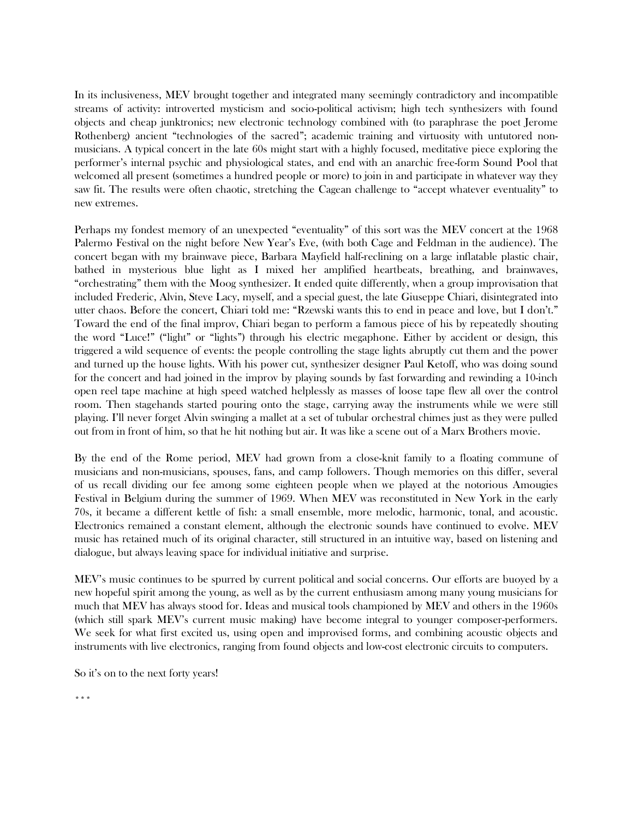In its inclusiveness, MEV brought together and integrated many seemingly contradictory and incompatible streams of activity: introverted mysticism and socio-political activism; high tech synthesizers with found objects and cheap junktronics; new electronic technology combined with (to paraphrase the poet Jerome Rothenberg) ancient "technologies of the sacred"; academic training and virtuosity with untutored nonmusicians. A typical concert in the late 60s might start with a highly focused, meditative piece exploring the performer's internal psychic and physiological states, and end with an anarchic free-form Sound Pool that welcomed all present (sometimes a hundred people or more) to join in and participate in whatever way they saw fit. The results were often chaotic, stretching the Cagean challenge to "accept whatever eventuality" to new extremes.

Perhaps my fondest memory of an unexpected "eventuality" of this sort was the MEV concert at the 1968 Palermo Festival on the night before New Year's Eve, (with both Cage and Feldman in the audience). The concert began with my brainwave piece, Barbara Mayfield half-reclining on a large inflatable plastic chair, bathed in mysterious blue light as I mixed her amplified heartbeats, breathing, and brainwaves, "orchestrating" them with the Moog synthesizer. It ended quite differently, when a group improvisation that included Frederic, Alvin, Steve Lacy, myself, and a special guest, the late Giuseppe Chiari, disintegrated into utter chaos. Before the concert, Chiari told me: "Rzewski wants this to end in peace and love, but I don't." Toward the end of the final improv, Chiari began to perform a famous piece of his by repeatedly shouting the word "Luce!" ("light" or "lights") through his electric megaphone. Either by accident or design, this triggered a wild sequence of events: the people controlling the stage lights abruptly cut them and the power and turned up the house lights. With his power cut, synthesizer designer Paul Ketoff, who was doing sound for the concert and had joined in the improv by playing sounds by fast forwarding and rewinding a 10-inch open reel tape machine at high speed watched helplessly as masses of loose tape flew all over the control room. Then stagehands started pouring onto the stage, carrying away the instruments while we were still playing. I'll never forget Alvin swinging a mallet at a set of tubular orchestral chimes just as they were pulled out from in front of him, so that he hit nothing but air. It was like a scene out of a Marx Brothers movie.

By the end of the Rome period, MEV had grown from a close-knit family to a floating commune of musicians and non-musicians, spouses, fans, and camp followers. Though memories on this differ, several of us recall dividing our fee among some eighteen people when we played at the notorious Amougies Festival in Belgium during the summer of 1969. When MEV was reconstituted in New York in the early 70s, it became a different kettle of fish: a small ensemble, more melodic, harmonic, tonal, and acoustic. Electronics remained a constant element, although the electronic sounds have continued to evolve. MEV music has retained much of its original character, still structured in an intuitive way, based on listening and dialogue, but always leaving space for individual initiative and surprise.

MEV's music continues to be spurred by current political and social concerns. Our efforts are buoyed by a new hopeful spirit among the young, as well as by the current enthusiasm among many young musicians for much that MEV has always stood for. Ideas and musical tools championed by MEV and others in the 1960s (which still spark MEV's current music making) have become integral to younger composer-performers. We seek for what first excited us, using open and improvised forms, and combining acoustic objects and instruments with live electronics, ranging from found objects and low-cost electronic circuits to computers.

So it's on to the next forty years!

\*\*\*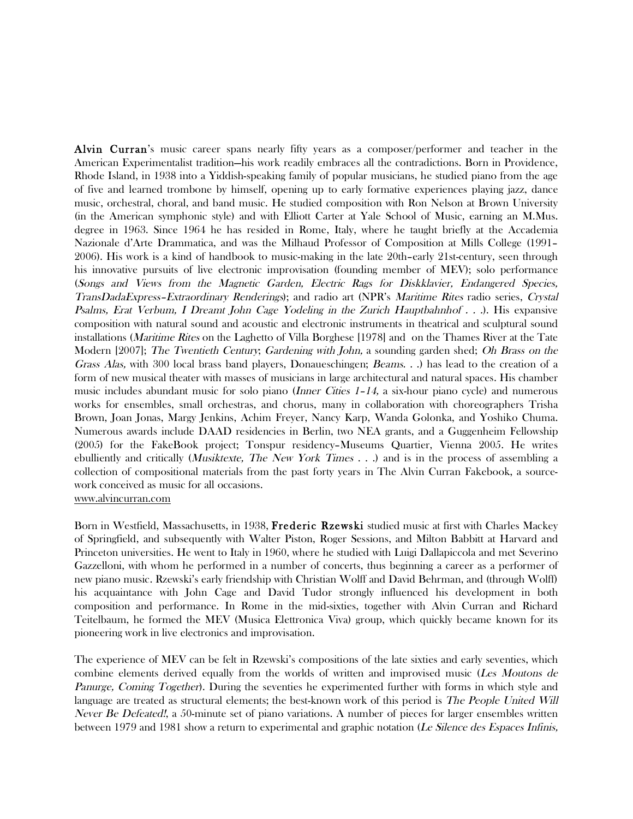Alvin Curran's music career spans nearly fifty years as a composer/performer and teacher in the American Experimentalist tradition—his work readily embraces all the contradictions. Born in Providence, Rhode Island, in 1938 into a Yiddish-speaking family of popular musicians, he studied piano from the age of five and learned trombone by himself, opening up to early formative experiences playing jazz, dance music, orchestral, choral, and band music. He studied composition with Ron Nelson at Brown University (in the American symphonic style) and with Elliott Carter at Yale School of Music, earning an M.Mus. degree in 1963. Since 1964 he has resided in Rome, Italy, where he taught briefly at the Accademia Nazionale d'Arte Drammatica, and was the Milhaud Professor of Composition at Mills College (1991– 2006). His work is a kind of handbook to music-making in the late 20th–early 21st-century, seen through his innovative pursuits of live electronic improvisation (founding member of MEV); solo performance (Songs and Views from the Magnetic Garden, Electric Rags for Diskklavier, Endangered Species, TransDadaExpress–Extraordinary Renderings); and radio art (NPR's Maritime Rites radio series, Crystal Psalms, Erat Verbum, I Dreamt John Cage Yodeling in the Zurich Hauptbahnhof . . .). His expansive composition with natural sound and acoustic and electronic instruments in theatrical and sculptural sound installations (Maritime Rites on the Laghetto of Villa Borghese [1978] and on the Thames River at the Tate Modern [2007]; The Twentieth Century; Gardening with John, a sounding garden shed; Oh Brass on the Grass Alas, with 300 local brass band players, Donaueschingen; Beams. . .) has lead to the creation of a form of new musical theater with masses of musicians in large architectural and natural spaces. His chamber music includes abundant music for solo piano (Inner Cities 1–14, a six-hour piano cycle) and numerous works for ensembles, small orchestras, and chorus, many in collaboration with choreographers Trisha Brown, Joan Jonas, Margy Jenkins, Achim Freyer, Nancy Karp, Wanda Golonka, and Yoshiko Chuma. Numerous awards include DAAD residencies in Berlin, two NEA grants, and a Guggenheim Fellowship (2005) for the FakeBook project; Tonspur residency–Museums Quartier, Vienna 2005. He writes ebulliently and critically (Musiktexte, The New York Times . . .) and is in the process of assembling a collection of compositional materials from the past forty years in The Alvin Curran Fakebook, a sourcework conceived as music for all occasions. www.alvincurran.com

Born in Westfield, Massachusetts, in 1938, Frederic Rzewski studied music at first with Charles Mackey of Springfield, and subsequently with Walter Piston, Roger Sessions, and Milton Babbitt at Harvard and Princeton universities. He went to Italy in 1960, where he studied with Luigi Dallapiccola and met Severino Gazzelloni, with whom he performed in a number of concerts, thus beginning a career as a performer of new piano music. Rzewski's early friendship with Christian Wolff and David Behrman, and (through Wolff) his acquaintance with John Cage and David Tudor strongly influenced his development in both composition and performance. In Rome in the mid-sixties, together with Alvin Curran and Richard Teitelbaum, he formed the MEV (Musica Elettronica Viva) group, which quickly became known for its pioneering work in live electronics and improvisation.

The experience of MEV can be felt in Rzewski's compositions of the late sixties and early seventies, which combine elements derived equally from the worlds of written and improvised music (Les Moutons de Panurge, Coming Together). During the seventies he experimented further with forms in which style and language are treated as structural elements; the best-known work of this period is *The People United Will* Never Be Defeated!, a 50-minute set of piano variations. A number of pieces for larger ensembles written between 1979 and 1981 show a return to experimental and graphic notation (Le Silence des Espaces Infinis,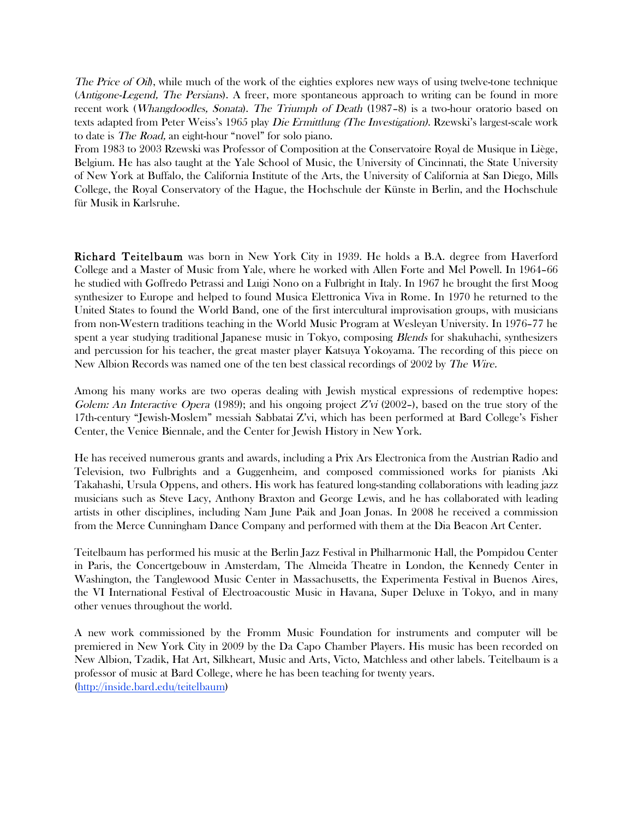The Price of Oil), while much of the work of the eighties explores new ways of using twelve-tone technique (Antigone-Legend, The Persians). A freer, more spontaneous approach to writing can be found in more recent work (Whangdoodles, Sonata). The Triumph of Death (1987–8) is a two-hour oratorio based on texts adapted from Peter Weiss's 1965 play Die Ermittlung (The Investigation). Rzewski's largest-scale work to date is The Road, an eight-hour "novel" for solo piano.

From 1983 to 2003 Rzewski was Professor of Composition at the Conservatoire Royal de Musique in Liège, Belgium. He has also taught at the Yale School of Music, the University of Cincinnati, the State University of New York at Buffalo, the California Institute of the Arts, the University of California at San Diego, Mills College, the Royal Conservatory of the Hague, the Hochschule der Künste in Berlin, and the Hochschule für Musik in Karlsruhe.

Richard Teitelbaum was born in New York City in 1939. He holds a B.A. degree from Haverford College and a Master of Music from Yale, where he worked with Allen Forte and Mel Powell. In 1964–66 he studied with Goffredo Petrassi and Luigi Nono on a Fulbright in Italy. In 1967 he brought the first Moog synthesizer to Europe and helped to found Musica Elettronica Viva in Rome. In 1970 he returned to the United States to found the World Band, one of the first intercultural improvisation groups, with musicians from non-Western traditions teaching in the World Music Program at Wesleyan University. In 1976–77 he spent a year studying traditional Japanese music in Tokyo, composing *Blends* for shakuhachi, synthesizers and percussion for his teacher, the great master player Katsuya Yokoyama. The recording of this piece on New Albion Records was named one of the ten best classical recordings of 2002 by The Wire.

Among his many works are two operas dealing with Jewish mystical expressions of redemptive hopes: Golem: An Interactive Opera (1989); and his ongoing project  $Z'_{V}$  (2002–), based on the true story of the 17th-century "Jewish-Moslem" messiah Sabbatai Z'vi, which has been performed at Bard College's Fisher Center, the Venice Biennale, and the Center for Jewish History in New York.

He has received numerous grants and awards, including a Prix Ars Electronica from the Austrian Radio and Television, two Fulbrights and a Guggenheim, and composed commissioned works for pianists Aki Takahashi, Ursula Oppens, and others. His work has featured long-standing collaborations with leading jazz musicians such as Steve Lacy, Anthony Braxton and George Lewis, and he has collaborated with leading artists in other disciplines, including Nam June Paik and Joan Jonas. In 2008 he received a commission from the Merce Cunningham Dance Company and performed with them at the Dia Beacon Art Center.

Teitelbaum has performed his music at the Berlin Jazz Festival in Philharmonic Hall, the Pompidou Center in Paris, the Concertgebouw in Amsterdam, The Almeida Theatre in London, the Kennedy Center in Washington, the Tanglewood Music Center in Massachusetts, the Experimenta Festival in Buenos Aires, the VI International Festival of Electroacoustic Music in Havana, Super Deluxe in Tokyo, and in many other venues throughout the world.

A new work commissioned by the Fromm Music Foundation for instruments and computer will be premiered in New York City in 2009 by the Da Capo Chamber Players. His music has been recorded on New Albion, Tzadik, Hat Art, Silkheart, Music and Arts, Victo, Matchless and other labels. Teitelbaum is a professor of music at Bard College, where he has been teaching for twenty years. (http://inside.bard.edu/teitelbaum)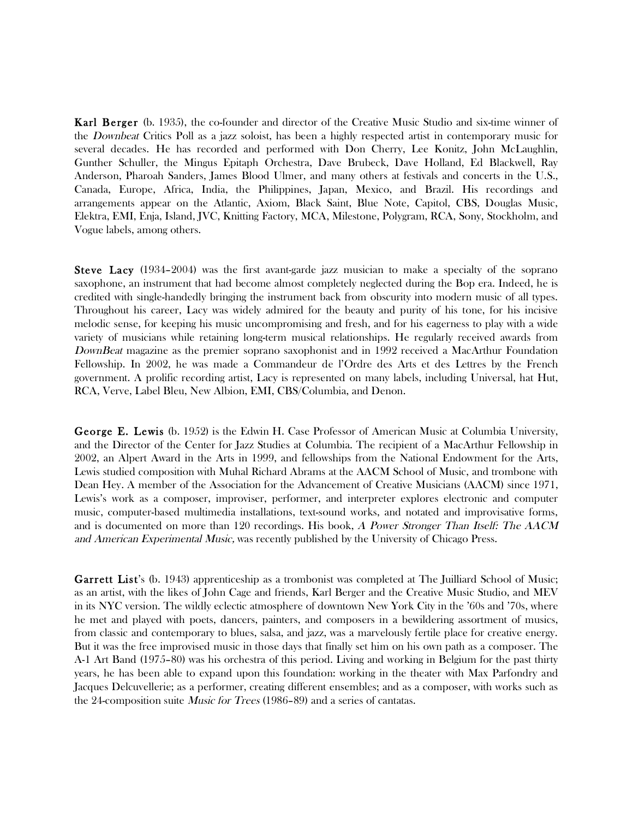Karl Berger (b. 1935), the co-founder and director of the Creative Music Studio and six-time winner of the Downbeat Critics Poll as a jazz soloist, has been a highly respected artist in contemporary music for several decades. He has recorded and performed with Don Cherry, Lee Konitz, John McLaughlin, Gunther Schuller, the Mingus Epitaph Orchestra, Dave Brubeck, Dave Holland, Ed Blackwell, Ray Anderson, Pharoah Sanders, James Blood Ulmer, and many others at festivals and concerts in the U.S., Canada, Europe, Africa, India, the Philippines, Japan, Mexico, and Brazil. His recordings and arrangements appear on the Atlantic, Axiom, Black Saint, Blue Note, Capitol, CBS, Douglas Music, Elektra, EMI, Enja, Island, JVC, Knitting Factory, MCA, Milestone, Polygram, RCA, Sony, Stockholm, and Vogue labels, among others.

Steve Lacy (1934–2004) was the first avant-garde jazz musician to make a specialty of the soprano saxophone, an instrument that had become almost completely neglected during the Bop era. Indeed, he is credited with single-handedly bringing the instrument back from obscurity into modern music of all types. Throughout his career, Lacy was widely admired for the beauty and purity of his tone, for his incisive melodic sense, for keeping his music uncompromising and fresh, and for his eagerness to play with a wide variety of musicians while retaining long-term musical relationships. He regularly received awards from DownBeat magazine as the premier soprano saxophonist and in 1992 received a MacArthur Foundation Fellowship. In 2002, he was made a Commandeur de l'Ordre des Arts et des Lettres by the French government. A prolific recording artist, Lacy is represented on many labels, including Universal, hat Hut, RCA, Verve, Label Bleu, New Albion, EMI, CBS/Columbia, and Denon.

George E. Lewis (b. 1952) is the Edwin H. Case Professor of American Music at Columbia University, and the Director of the Center for Jazz Studies at Columbia. The recipient of a MacArthur Fellowship in 2002, an Alpert Award in the Arts in 1999, and fellowships from the National Endowment for the Arts, Lewis studied composition with Muhal Richard Abrams at the AACM School of Music, and trombone with Dean Hey. A member of the Association for the Advancement of Creative Musicians (AACM) since 1971, Lewis's work as a composer, improviser, performer, and interpreter explores electronic and computer music, computer-based multimedia installations, text-sound works, and notated and improvisative forms, and is documented on more than 120 recordings. His book, A Power Stronger Than Itself: The AACM and American Experimental Music, was recently published by the University of Chicago Press.

Garrett List's (b. 1943) apprenticeship as a trombonist was completed at The Juilliard School of Music; as an artist, with the likes of John Cage and friends, Karl Berger and the Creative Music Studio, and MEV in its NYC version. The wildly eclectic atmosphere of downtown New York City in the '60s and '70s, where he met and played with poets, dancers, painters, and composers in a bewildering assortment of musics, from classic and contemporary to blues, salsa, and jazz, was a marvelously fertile place for creative energy. But it was the free improvised music in those days that finally set him on his own path as a composer. The A-1 Art Band (1975–80) was his orchestra of this period. Living and working in Belgium for the past thirty years, he has been able to expand upon this foundation: working in the theater with Max Parfondry and Jacques Delcuvellerie; as a performer, creating different ensembles; and as a composer, with works such as the 24-composition suite Music for Trees (1986–89) and a series of cantatas.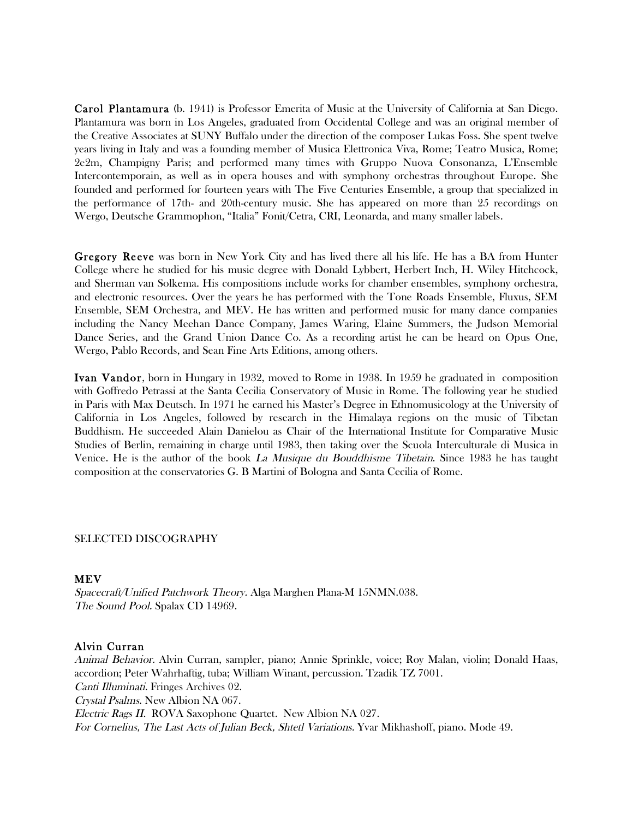Carol Plantamura (b. 1941) is Professor Emerita of Music at the University of California at San Diego. Plantamura was born in Los Angeles, graduated from Occidental College and was an original member of the Creative Associates at SUNY Buffalo under the direction of the composer Lukas Foss. She spent twelve years living in Italy and was a founding member of Musica Elettronica Viva, Rome; Teatro Musica, Rome; 2e2m, Champigny Paris; and performed many times with Gruppo Nuova Consonanza, L'Ensemble Intercontemporain, as well as in opera houses and with symphony orchestras throughout Europe. She founded and performed for fourteen years with The Five Centuries Ensemble, a group that specialized in the performance of 17th- and 20th-century music. She has appeared on more than 25 recordings on Wergo, Deutsche Grammophon, "Italia" Fonit/Cetra, CRI, Leonarda, and many smaller labels.

Gregory Reeve was born in New York City and has lived there all his life. He has a BA from Hunter College where he studied for his music degree with Donald Lybbert, Herbert Inch, H. Wiley Hitchcock, and Sherman van Solkema. His compositions include works for chamber ensembles, symphony orchestra, and electronic resources. Over the years he has performed with the Tone Roads Ensemble, Fluxus, SEM Ensemble, SEM Orchestra, and MEV. He has written and performed music for many dance companies including the Nancy Meehan Dance Company, James Waring, Elaine Summers, the Judson Memorial Dance Series, and the Grand Union Dance Co. As a recording artist he can be heard on Opus One, Wergo, Pablo Records, and Sean Fine Arts Editions, among others.

Ivan Vandor, born in Hungary in 1932, moved to Rome in 1938. In 1959 he graduated in composition with Goffredo Petrassi at the Santa Cecilia Conservatory of Music in Rome. The following year he studied in Paris with Max Deutsch. In 1971 he earned his Master's Degree in Ethnomusicology at the University of California in Los Angeles, followed by research in the Himalaya regions on the music of Tibetan Buddhism. He succeeded Alain Danielou as Chair of the International Institute for Comparative Music Studies of Berlin, remaining in charge until 1983, then taking over the Scuola Interculturale di Musica in Venice. He is the author of the book La Musique du Bouddhisme Tibetain. Since 1983 he has taught composition at the conservatories G. B Martini of Bologna and Santa Cecilia of Rome.

#### SELECTED DISCOGRAPHY

### **MEV**

Spacecraft/Unified Patchwork Theory. Alga Marghen Plana-M 15NMN.038. The Sound Pool. Spalax CD 14969.

#### Alvin Curran

Animal Behavior. Alvin Curran, sampler, piano; Annie Sprinkle, voice; Roy Malan, violin; Donald Haas, accordion; Peter Wahrhaftig, tuba; William Winant, percussion. Tzadik TZ 7001. Canti Illuminati. Fringes Archives 02. Crystal Psalms. New Albion NA 067. Electric Rags II. ROVA Saxophone Quartet. New Albion NA 027. For Cornelius, The Last Acts of Julian Beck, Shtetl Variations. Yvar Mikhashoff, piano. Mode 49.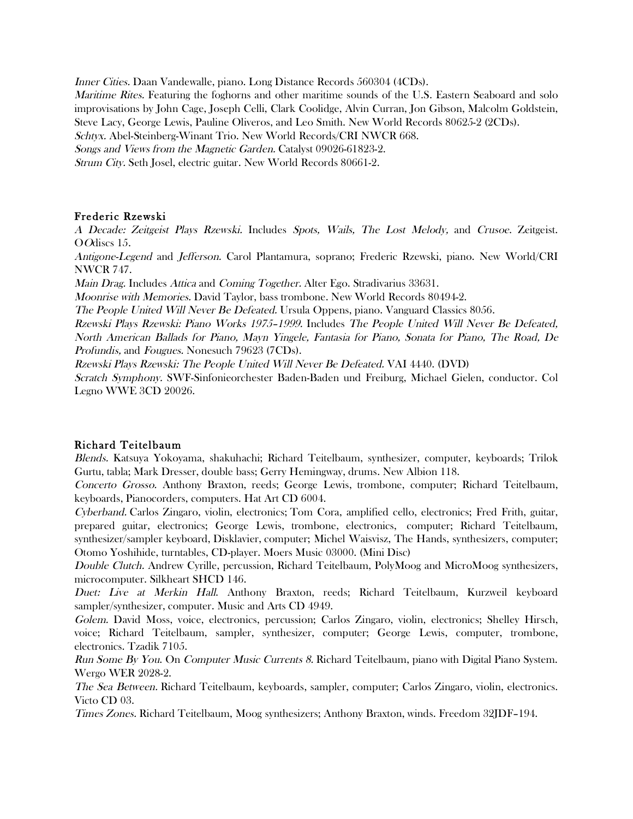Inner Cities. Daan Vandewalle, piano. Long Distance Records 560304 (4CDs).

Maritime Rites. Featuring the foghorns and other maritime sounds of the U.S. Eastern Seaboard and solo improvisations by John Cage, Joseph Celli, Clark Coolidge, Alvin Curran, Jon Gibson, Malcolm Goldstein, Steve Lacy, George Lewis, Pauline Oliveros, and Leo Smith. New World Records 80625-2 (2CDs).

Schtyx. Abel-Steinberg-Winant Trio. New World Records/CRI NWCR 668.

Songs and Views from the Magnetic Garden. Catalyst 09026-61823-2.

Strum City. Seth Josel, electric guitar. New World Records 80661-2.

# Frederic Rzewski

A Decade: Zeitgeist Plays Rzewski. Includes Spots, Wails, The Lost Melody, and Crusoe. Zeitgeist. OOdiscs 15.

Antigone-Legend and Jefferson. Carol Plantamura, soprano; Frederic Rzewski, piano. New World/CRI NWCR 747.

Main Drag. Includes Attica and Coming Together. Alter Ego. Stradivarius 33631.

Moonrise with Memories. David Taylor, bass trombone. New World Records 80494-2.

The People United Will Never Be Defeated. Ursula Oppens, piano. Vanguard Classics 8056.

Rzewski Plays Rzewski: Piano Works 1975–1999. Includes The People United Will Never Be Defeated, North American Ballads for Piano, Mayn Yingele, Fantasia for Piano, Sonata for Piano, The Road, De Profundis, and Fougues. Nonesuch 79623 (7CDs).

Rzewski Plays Rzewski: The People United Will Never Be Defeated. VAI 4440. (DVD)

Scratch Symphony. SWF-Sinfonieorchester Baden-Baden und Freiburg, Michael Gielen, conductor. Col Legno WWE 3CD 20026.

## Richard Teitelbaum

Blends. Katsuya Yokoyama, shakuhachi; Richard Teitelbaum, synthesizer, computer, keyboards; Trilok Gurtu, tabla; Mark Dresser, double bass; Gerry Hemingway, drums. New Albion 118.

Concerto Grosso. Anthony Braxton, reeds; George Lewis, trombone, computer; Richard Teitelbaum, keyboards, Pianocorders, computers. Hat Art CD 6004.

Cyberband. Carlos Zingaro, violin, electronics; Tom Cora, amplified cello, electronics; Fred Frith, guitar, prepared guitar, electronics; George Lewis, trombone, electronics, computer; Richard Teitelbaum, synthesizer/sampler keyboard, Disklavier, computer; Michel Waisvisz, The Hands, synthesizers, computer; Otomo Yoshihide, turntables, CD-player. Moers Music 03000. (Mini Disc)

Double Clutch. Andrew Cyrille, percussion, Richard Teitelbaum, PolyMoog and MicroMoog synthesizers, microcomputer. Silkheart SHCD 146.

Duet: Live at Merkin Hall. Anthony Braxton, reeds; Richard Teitelbaum, Kurzweil keyboard sampler/synthesizer, computer. Music and Arts CD 4949.

Golem. David Moss, voice, electronics, percussion; Carlos Zingaro, violin, electronics; Shelley Hirsch, voice; Richard Teitelbaum, sampler, synthesizer, computer; George Lewis, computer, trombone, electronics. Tzadik 7105.

Run Some By You. On Computer Music Currents 8. Richard Teitelbaum, piano with Digital Piano System. Wergo WER 2028-2.

The Sea Between. Richard Teitelbaum, keyboards, sampler, computer; Carlos Zingaro, violin, electronics. Victo CD 03.

Times Zones. Richard Teitelbaum, Moog synthesizers; Anthony Braxton, winds. Freedom 32JDF–194.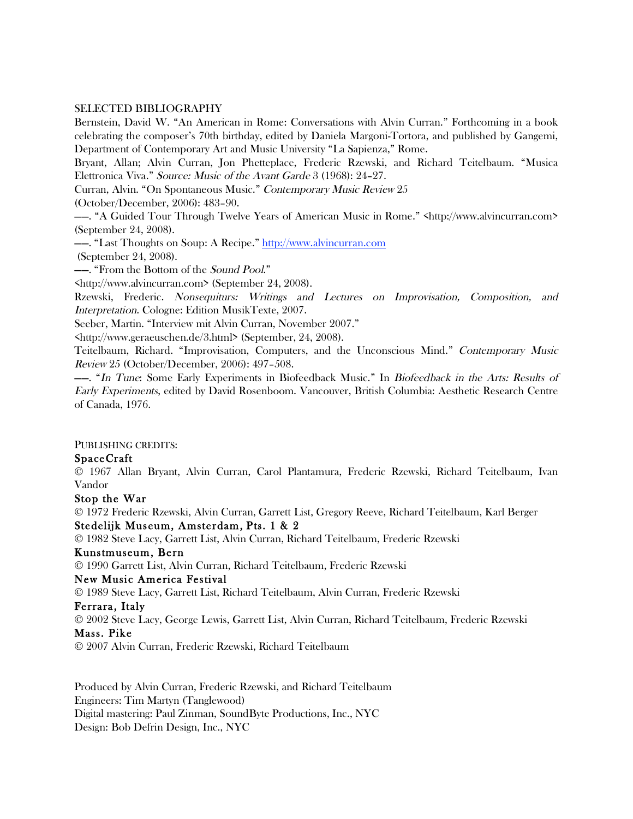### SELECTED BIBLIOGRAPHY

Bernstein, David W. "An American in Rome: Conversations with Alvin Curran." Forthcoming in a book celebrating the composer's 70th birthday, edited by Daniela Margoni-Tortora, and published by Gangemi, Department of Contemporary Art and Music University "La Sapienza," Rome.

Bryant, Allan; Alvin Curran, Jon Phetteplace, Frederic Rzewski, and Richard Teitelbaum. "Musica Elettronica Viva." Source: Music of the Avant Garde 3 (1968): 24–27.

Curran, Alvin. "On Spontaneous Music." Contemporary Music Review 25

(October/December, 2006): 483–90.

——. "A Guided Tour Through Twelve Years of American Music in Rome." <http://www.alvincurran.com> (September 24, 2008).

——. "Last Thoughts on Soup: A Recipe." http://www.alvincurran.com

(September 24, 2008).

——. "From the Bottom of the Sound Pool."

<http://www.alvincurran.com> (September 24, 2008).

Rzewski, Frederic. Nonsequiturs: Writings and Lectures on Improvisation, Composition, and Interpretation. Cologne: Edition MusikTexte, 2007.

Seeber, Martin. "Interview mit Alvin Curran, November 2007."

<http://www.geraeuschen.de/3.html> (September, 24, 2008).

Teitelbaum, Richard. "Improvisation, Computers, and the Unconscious Mind." Contemporary Music Review 25 (October/December, 2006): 497–508.

——. "In Tune: Some Early Experiments in Biofeedback Music." In Biofeedback in the Arts: Results of Early Experiments, edited by David Rosenboom. Vancouver, British Columbia: Aesthetic Research Centre of Canada, 1976.

PUBLISHING CREDITS:

## SpaceCraft

© 1967 Allan Bryant, Alvin Curran, Carol Plantamura, Frederic Rzewski, Richard Teitelbaum, Ivan Vandor

## Stop the War

© 1972 Frederic Rzewski, Alvin Curran, Garrett List, Gregory Reeve, Richard Teitelbaum, Karl Berger Stedelijk Museum, Amsterdam, Pts. 1 & 2

© 1982 Steve Lacy, Garrett List, Alvin Curran, Richard Teitelbaum, Frederic Rzewski

### Kunstmuseum, Bern

© 1990 Garrett List, Alvin Curran, Richard Teitelbaum, Frederic Rzewski

## New Music America Festival

© 1989 Steve Lacy, Garrett List, Richard Teitelbaum, Alvin Curran, Frederic Rzewski

### Ferrara, Italy

© 2002 Steve Lacy, George Lewis, Garrett List, Alvin Curran, Richard Teitelbaum, Frederic Rzewski Mass. Pike

© 2007 Alvin Curran, Frederic Rzewski, Richard Teitelbaum

Produced by Alvin Curran, Frederic Rzewski, and Richard Teitelbaum Engineers: Tim Martyn (Tanglewood) Digital mastering: Paul Zinman, SoundByte Productions, Inc., NYC Design: Bob Defrin Design, Inc., NYC